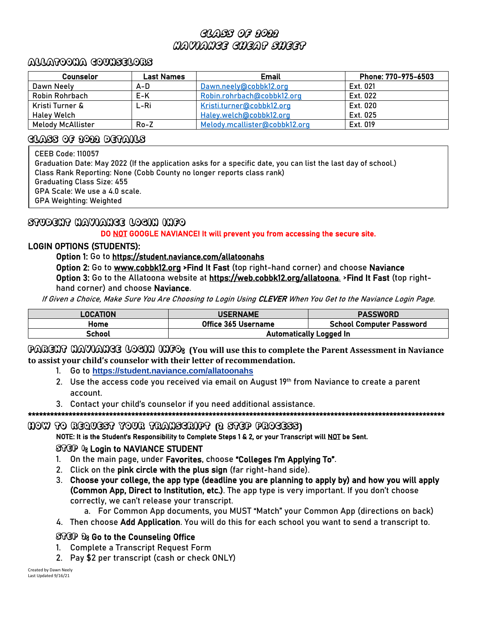# Class of 2022 Naviance cheat sheet

### Allatoona Counselors

| Counselor                | Last Names | <b>Email</b>                  | Phone: 770-975-6503 |
|--------------------------|------------|-------------------------------|---------------------|
| Dawn Neely               | A-D        | Dawn.neely@cobbk12.org        | Ext. 021            |
| Robin Rohrbach           | E-K        | Robin.rohrbach@cobbk12.org    | Ext. 022            |
| Kristi Turner &          | L-Ri       | Kristi.turner@cobbk12.org     | Ext. 020            |
| Haley Welch              |            | Haley.welch@cobbk12.org       | Ext. 025            |
| <b>Melody McAllister</b> | $Ro - Z$   | Melody.mcallister@cobbk12.org | Ext. 019            |

### Class of 2022 details

CEEB Code: 110057

 $\mathbf{r}$  $\mathbf{r}$  $\mathbf{r}$  $\mathbf{r}$  $\mathbf{r}$ Ļ

Graduation Date: May 2022 (If the application asks for a specific date, you can list the last day of school.) Class Rank Reporting: None (Cobb County no longer reports class rank) Graduating Class Size: 455 GPA Scale: We use a 4.0 scale. GPA Weighting: Weighted

# STUDENT NAVIANCE LOGIN INFO

DO NOT GOOGLE NAVIANCE! It will prevent you from accessing the secure site.

# LOGIN OPTIONS (STUDENTS):

Option 1: Go to <https://student.naviance.com/allatoonahs>

Option 2: Go to [www.cobbk12.org](http://www.cobbk12.org/) >Find It Fast (top right-hand corner) and choose Naviance Option 3: Go to the Allatoona website at [https://web.cobbk12.org/allatoona.](https://web.cobbk12.org/allatoona) >Find It Fast (top righthand corner) and choose Naviance.

If Given a Choice, Make Sure You Are Choosing to Login Using CLEVER When You Get to the Naviance Login Page.

| LOCATION | <b>USERNAME</b>                | <b>PASSWORD</b>                 |
|----------|--------------------------------|---------------------------------|
| Home     | Office 365 Username            | <b>School Computer Password</b> |
| School   | <b>Automatically Logged In</b> |                                 |

PARENT NAVIANCE LOGIN INFO: **(You will use this to complete the Parent Assessment in Naviance to assist your child's counselor with their letter of recommendation.** 

- 1. Go to **<https://student.naviance.com/allatoonahs>**
- 2. Use the access code you received via email on August 19<sup>th</sup> from Naviance to create a parent account.
- 3. Contact your child's counselor if you need additional assistance.

\*\*\*\*\*\*\*\*\*\*\*\*\*\*\*\*\*\*\*\*\*\*\*\*\*\*\*\*\*\*\*\*\*\*\*\*\*\*\*\*\*\*\*\*\*\*\*\*\*\*\*\*\*\*\*\*\*\*\*\*\*\*\*\*\*\*\*\*\*\*\*\*\*\*\*\*\*\*\*\*\*\*\*\*\*\*\*\*\*\*\*\*\*\*\*\*\*\*\*\*\*\*\*\*\*\*\*\*\*\*\*\*\*

#### HOW TO REQUEST YOUR TRANSCRIPT **(**2 STEP PROCESS**)**

NOTE: It is the Student's Responsibility to Complete Steps 1 & 2, or your Transcript will NOT be Sent.

# STGP  $0_8$  Login to NAVIANCE STUDENT

- 1. On the main page, under Favorites, choose "Colleges I'm Applying To".
- 2. Click on the pink circle with the plus sign (far right-hand side).
- 3. Choose your college, the app type (deadline you are planning to apply by) and how you will apply (Common App, Direct to Institution, etc.). The app type is very important. If you don't choose correctly, we can't release your transcript.

a. For Common App documents, you MUST "Match" your Common App (directions on back)

4. Then choose Add Application. You will do this for each school you want to send a transcript to.

# STGP 28 Go to the Counseling Office

- 1. Complete a Transcript Request Form
- 2. Pay \$2 per transcript (cash or check ONLY)